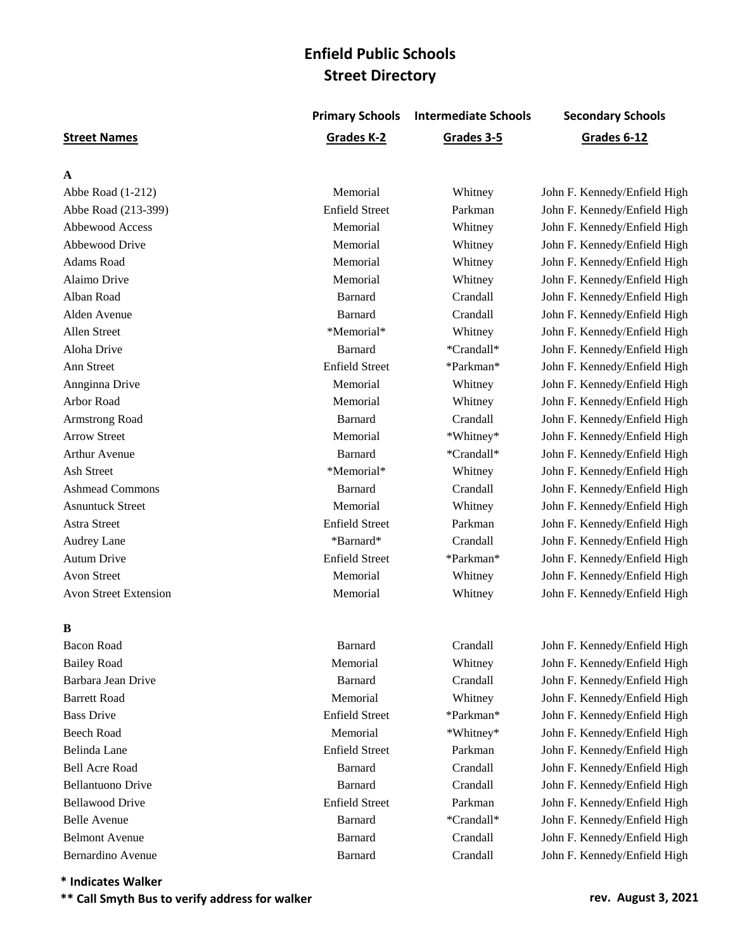**Primary Schools Intermediate Schools Secondary Schools**

#### **Street Names Grades K-2 Grades 3-5 Grades 6-12**

#### **A**

Avon Street Extension **Memorial** Memorial Whitney John F. Kennedy/Enfield High

## **B**

Abbe Road (1-212) **Memorial** Memorial Whitney John F. Kennedy/Enfield High Abbe Road (213-399) Enfield Street Parkman John F. Kennedy/Enfield High Abbewood Access **Memorial** Memorial Whitney John F. Kennedy/Enfield High Abbewood Drive **Memorial** Memorial Whitney John F. Kennedy/Enfield High Adams Road **Memorial** Memorial Whitney John F. Kennedy/Enfield High Alaimo Drive **Memorial** Memorial Whitney John F. Kennedy/Enfield High Alban Road Barnard Crandall John F. Kennedy/Enfield High Alden Avenue Barnard Crandall John F. Kennedy/Enfield High Allen Street **\*Memorial**\* Whitney John F. Kennedy/Enfield High Aloha Drive **Barnard** \*Crandall\* John F. Kennedy/Enfield High Ann Street Enfield Street Enfield Street \*Parkman\* John F. Kennedy/Enfield High Annginna Drive **Memorial** Memorial Whitney John F. Kennedy/Enfield High Arbor Road **Memorial** Memorial Whitney John F. Kennedy/Enfield High Armstrong Road Barnard Crandall John F. Kennedy/Enfield High Arrow Street Memorial **Memorial 1996** \*Whitney\* John F. Kennedy/Enfield High Arthur Avenue **Barnard Barnard** \*Crandall\* John F. Kennedy/Enfield High Ash Street \*Memorial\* \*Memorial\* Whitney John F. Kennedy/Enfield High Ashmead Commons **Barnard** Crandall John F. Kennedy/Enfield High Asnuntuck Street **Memorial** Memorial Whitney John F. Kennedy/Enfield High Astra Street Enfield Street Parkman John F. Kennedy/Enfield High Audrey Lane **Audrey Lane** \* Barnard\* **Crandall** John F. Kennedy/Enfield High Autum Drive **Enfield Street** \*Parkman\* John F. Kennedy/Enfield High Avon Street **Memorial** Memorial Whitney John F. Kennedy/Enfield High

Bacon Road Barnard Crandall John F. Kennedy/Enfield High Bailey Road **Memorial** Memorial Whitney John F. Kennedy/Enfield High Barbara Jean Drive Barnard Crandall John F. Kennedy/Enfield High Barrett Road **Memorial** Memorial Whitney John F. Kennedy/Enfield High Bass Drive Enfield Street \*Parkman\* John F. Kennedy/Enfield High Beech Road **Memorial** \*Whitney\* John F. Kennedy/Enfield High Belinda Lane **Enfield Street** Parkman John F. Kennedy/Enfield High Bell Acre Road Barnard Crandall John F. Kennedy/Enfield High Bellantuono Drive **Barnard** Crandall John F. Kennedy/Enfield High Bellawood Drive Enfield Street Parkman John F. Kennedy/Enfield High Belle Avenue **Barnard** \*Crandall\* John F. Kennedy/Enfield High Belmont Avenue **Barnard** Barnard Crandall John F. Kennedy/Enfield High Bernardino Avenue Barnard Crandall John F. Kennedy/Enfield High

**\* Indicates Walker**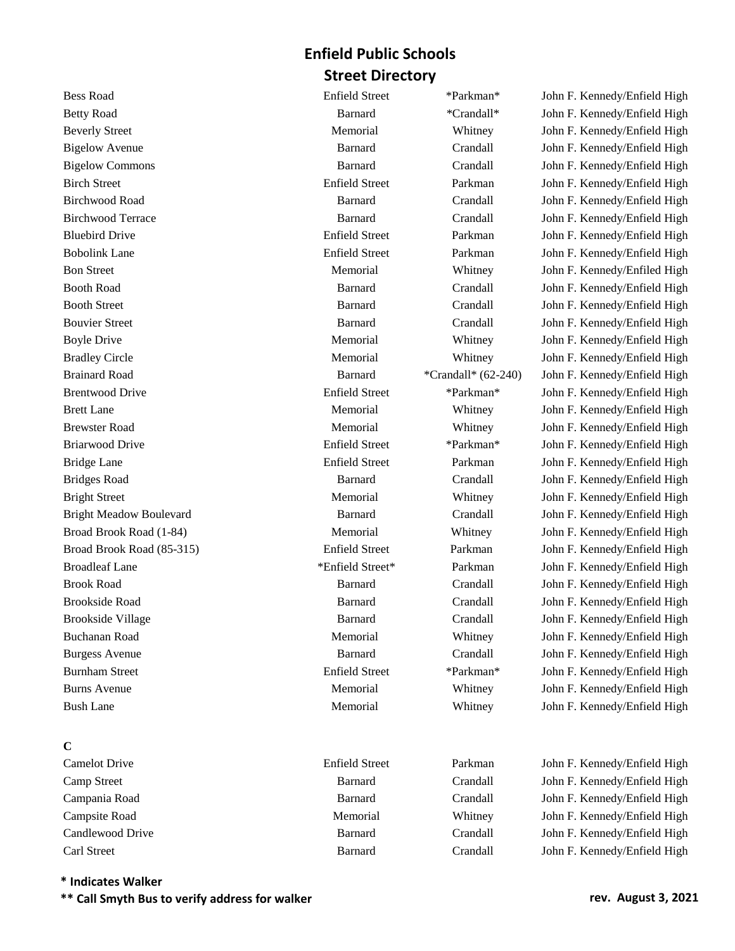## **C**

## **\* Indicates Walker**

**\*\* Call Smyth Bus to verify address for walker rev. August 3, 2021**

Bess Road Enfield Street \*Parkman\* John F. Kennedy/Enfield High Betty Road **Barnard** \*Crandall\* John F. Kennedy/Enfield High Beverly Street **Memorial** Memorial Whitney John F. Kennedy/Enfield High Bigelow Avenue Barnard Crandall John F. Kennedy/Enfield High Bigelow Commons **Barnard** Crandall John F. Kennedy/Enfield High Birch Street Enfield Street Parkman John F. Kennedy/Enfield High Birchwood Road **Barnard** Barnard Crandall John F. Kennedy/Enfield High Birchwood Terrace **Barnard** Barnard Crandall John F. Kennedy/Enfield High Bluebird Drive Enfield Street Parkman John F. Kennedy/Enfield High Bobolink Lane Enfield Street Parkman John F. Kennedy/Enfield High Bon Street **Memorial** Memorial Whitney John F. Kennedy/Enfiled High Booth Road **Barnard** Crandall John F. Kennedy/Enfield High Booth Street **Barnard** Barnard Crandall John F. Kennedy/Enfield High Bouvier Street **Barnard** Barnard Crandall John F. Kennedy/Enfield High Boyle Drive **Memorial** Memorial Whitney John F. Kennedy/Enfield High Bradley Circle **Memorial** Memorial Whitney John F. Kennedy/Enfield High Brainard Road Barnard \*Crandall\* (62-240) John F. Kennedy/Enfield High Brentwood Drive Enfield Street \*Parkman\* John F. Kennedy/Enfield High Brett Lane The Memorial Memorial Memorial Whitney John F. Kennedy/Enfield High Brewster Road **Memorial** Memorial Whitney John F. Kennedy/Enfield High Briarwood Drive Enfield Street \*Parkman\* John F. Kennedy/Enfield High Bridge Lane **Enfield Street** Parkman John F. Kennedy/Enfield High Bridges Road **Barnard** Barnard Crandall John F. Kennedy/Enfield High Bright Street The Memorial Memorial Memorial Whitney John F. Kennedy/Enfield High Bright Meadow Boulevard Barnard Crandall John F. Kennedy/Enfield High Broad Brook Road (1-84) **Memorial** Memorial Whitney John F. Kennedy/Enfield High Broad Brook Road (85-315) Enfield Street Parkman John F. Kennedy/Enfield High Broadleaf Lane \*Enfield Street\* Parkman John F. Kennedy/Enfield High Brook Road **Barnard** Crandall John F. Kennedy/Enfield High Brookside Road **Barnard** Crandall John F. Kennedy/Enfield High Brookside Village **Barnard** Crandall John F. Kennedy/Enfield High Buchanan Road **Memorial** Memorial Whitney John F. Kennedy/Enfield High Burgess Avenue Barnard Crandall John F. Kennedy/Enfield High Burnham Street **Enfield Street** Enfield Street \*Parkman\* John F. Kennedy/Enfield High Burns Avenue **Memorial** Memorial Whitney John F. Kennedy/Enfield High Bush Lane **Memorial** Memorial Whitney John F. Kennedy/Enfield High

Camelot Drive Enfield Street Parkman John F. Kennedy/Enfield High Camp Street Barnard Crandall John F. Kennedy/Enfield High Campania Road Barnard Crandall John F. Kennedy/Enfield High Campsite Road **Memorial** Memorial Whitney John F. Kennedy/Enfield High Candlewood Drive Barnard Crandall John F. Kennedy/Enfield High Carl Street Barnard Crandall John F. Kennedy/Enfield High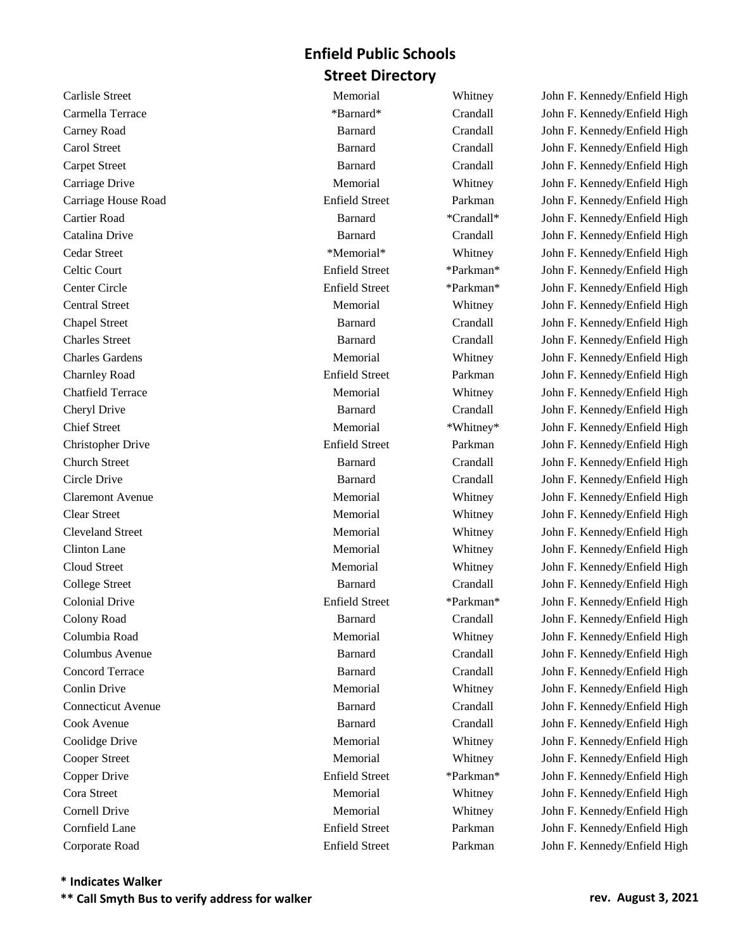Corporate Road Enfield Street Parkman John F. Kennedy/Enfield High

Carlisle Street Memorial Whitney John F. Kennedy/Enfield High Carmella Terrace \*Barnard\* Crandall John F. Kennedy/Enfield High Carney Road Barnard Crandall John F. Kennedy/Enfield High Carol Street Barnard Crandall John F. Kennedy/Enfield High Carpet Street Barnard Crandall John F. Kennedy/Enfield High Carriage Drive **Memorial** Memorial Whitney John F. Kennedy/Enfield High Carriage House Road Enfield Street Parkman John F. Kennedy/Enfield High Cartier Road Barnard \*Crandall\* John F. Kennedy/Enfield High Catalina Drive Barnard Crandall John F. Kennedy/Enfield High Cedar Street \*Memorial\* Whitney John F. Kennedy/Enfield High Celtic Court Enfield Street \*Parkman\* John F. Kennedy/Enfield High Center Circle Enfield Street \*Parkman\* John F. Kennedy/Enfield High Central Street **Memorial** Memorial Whitney John F. Kennedy/Enfield High Chapel Street Barnard Crandall John F. Kennedy/Enfield High Charles Street Barnard Crandall John F. Kennedy/Enfield High Charles Gardens Memorial Whitney John F. Kennedy/Enfield High Charnley Road Enfield Street Parkman John F. Kennedy/Enfield High Chatfield Terrace **Memorial** Memorial Whitney John F. Kennedy/Enfield High Cheryl Drive Barnard Crandall John F. Kennedy/Enfield High Chief Street Memorial \*Whitney\* John F. Kennedy/Enfield High Christopher Drive Enfield Street Parkman John F. Kennedy/Enfield High Church Street Barnard Crandall John F. Kennedy/Enfield High Circle Drive Barnard Crandall John F. Kennedy/Enfield High Claremont Avenue Memorial Whitney John F. Kennedy/Enfield High Clear Street Memorial Memorial Memorial Whitney John F. Kennedy/Enfield High Cleveland Street Memorial Whitney John F. Kennedy/Enfield High Clinton Lane **Memorial** Memorial Whitney John F. Kennedy/Enfield High Cloud Street The Memorial Memorial Memorial Whitney John F. Kennedy/Enfield High College Street Barnard Crandall John F. Kennedy/Enfield High Colonial Drive Enfield Street \*Parkman\* John F. Kennedy/Enfield High Colony Road Barnard Crandall John F. Kennedy/Enfield High Columbia Road Memorial Whitney John F. Kennedy/Enfield High Columbus Avenue Barnard Crandall John F. Kennedy/Enfield High Concord Terrace **Barnard** Barnard Crandall John F. Kennedy/Enfield High Conlin Drive **Memorial** Memorial Whitney John F. Kennedy/Enfield High Connecticut Avenue Barnard Crandall John F. Kennedy/Enfield High Cook Avenue Barnard Crandall John F. Kennedy/Enfield High Coolidge Drive **Memorial** Memorial Whitney John F. Kennedy/Enfield High Cooper Street **Memorial** Memorial Whitney John F. Kennedy/Enfield High Copper Drive Enfield Street \*Parkman\* John F. Kennedy/Enfield High Cora Street **Memorial** Memorial Whitney John F. Kennedy/Enfield High Cornell Drive **Memorial** Memorial Whitney John F. Kennedy/Enfield High Cornfield Lane Enfield Street Parkman John F. Kennedy/Enfield High

## **\* Indicates Walker**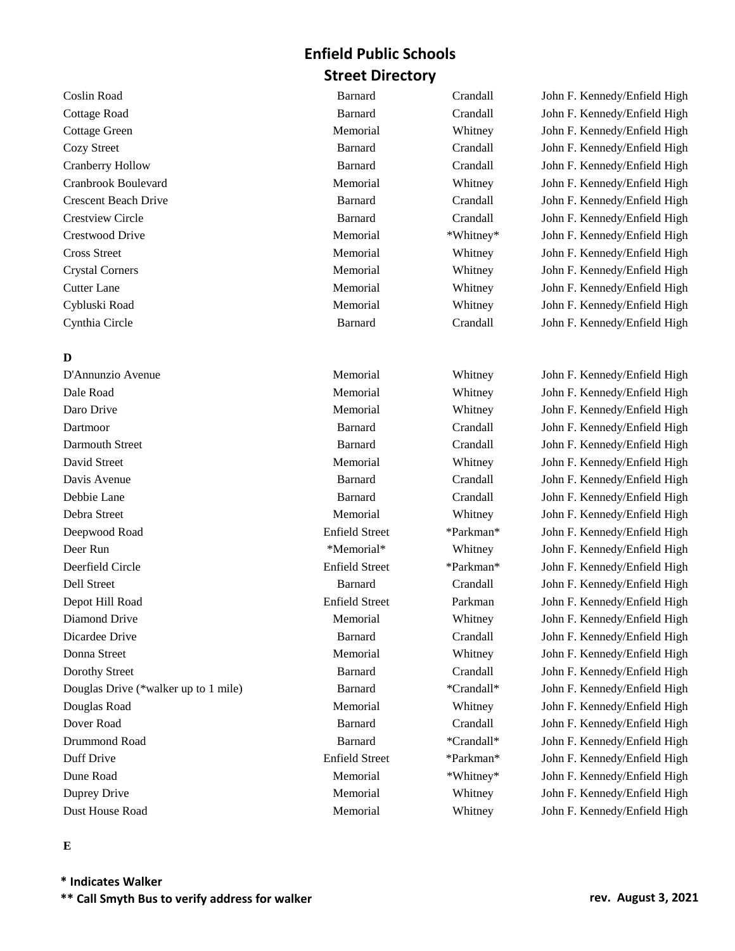## **D**

D'Annunzio Avenue Memorial Whitney John F. Kennedy/Enfield High Dale Road Memorial Whitney John F. Kennedy/Enfield High Daro Drive **Memorial** Memorial Whitney John F. Kennedy/Enfield High Dartmoor Barnard Crandall John F. Kennedy/Enfield High Darmouth Street Barnard Crandall John F. Kennedy/Enfield High David Street The Memorial Memorial Memorial Whitney John F. Kennedy/Enfield High Davis Avenue Barnard Crandall John F. Kennedy/Enfield High Debbie Lane Barnard Crandall John F. Kennedy/Enfield High Debra Street Memorial Whitney John F. Kennedy/Enfield High Deepwood Road Enfield Street \*Parkman\* John F. Kennedy/Enfield High Deer Run \*Memorial\* Whitney John F. Kennedy/Enfield High Deerfield Circle Enfield Street \*Parkman\* John F. Kennedy/Enfield High Dell Street Barnard Crandall John F. Kennedy/Enfield High Depot Hill Road Enfield Street Parkman John F. Kennedy/Enfield High Diamond Drive **Memorial** Memorial Whitney John F. Kennedy/Enfield High Dicardee Drive Barnard Crandall John F. Kennedy/Enfield High Donna Street Memorial Memorial Whitney John F. Kennedy/Enfield High Dorothy Street Barnard Crandall John F. Kennedy/Enfield High Douglas Drive (\*walker up to 1 mile) Barnard \*Crandall\* John F. Kennedy/Enfield High Douglas Road Memorial Whitney John F. Kennedy/Enfield High Dover Road Barnard Crandall John F. Kennedy/Enfield High Drummond Road Barnard \*Crandall\* John F. Kennedy/Enfield High Duff Drive Enfield Street \*Parkman\* John F. Kennedy/Enfield High Dune Road **Memorial** Memorial \*Whitney\* John F. Kennedy/Enfield High Duprey Drive **Memorial** Memorial Whitney John F. Kennedy/Enfield High Dust House Road Memorial Whitney John F. Kennedy/Enfield High

Coslin Road Barnard Crandall John F. Kennedy/Enfield High Cottage Road Barnard Crandall John F. Kennedy/Enfield High Cottage Green Memorial Whitney John F. Kennedy/Enfield High Cozy Street Barnard Crandall John F. Kennedy/Enfield High Cranberry Hollow Barnard Crandall John F. Kennedy/Enfield High Cranbrook Boulevard Memorial Whitney John F. Kennedy/Enfield High Crescent Beach Drive **Barnard** Barnard Crandall John F. Kennedy/Enfield High Crestview Circle Barnard Crandall John F. Kennedy/Enfield High Crestwood Drive **Memorial** Memorial \*Whitney\* John F. Kennedy/Enfield High Cross Street **Memorial** Memorial Whitney John F. Kennedy/Enfield High Crystal Corners Memorial Whitney John F. Kennedy/Enfield High Cutter Lane **Memorial** Memorial Whitney John F. Kennedy/Enfield High Cybluski Road Memorial Whitney John F. Kennedy/Enfield High Cynthia Circle Barnard Crandall John F. Kennedy/Enfield High

#### **E**

**\* Indicates Walker \*\* Call Smyth Bus to verify address for walker rev. August 3, 2021**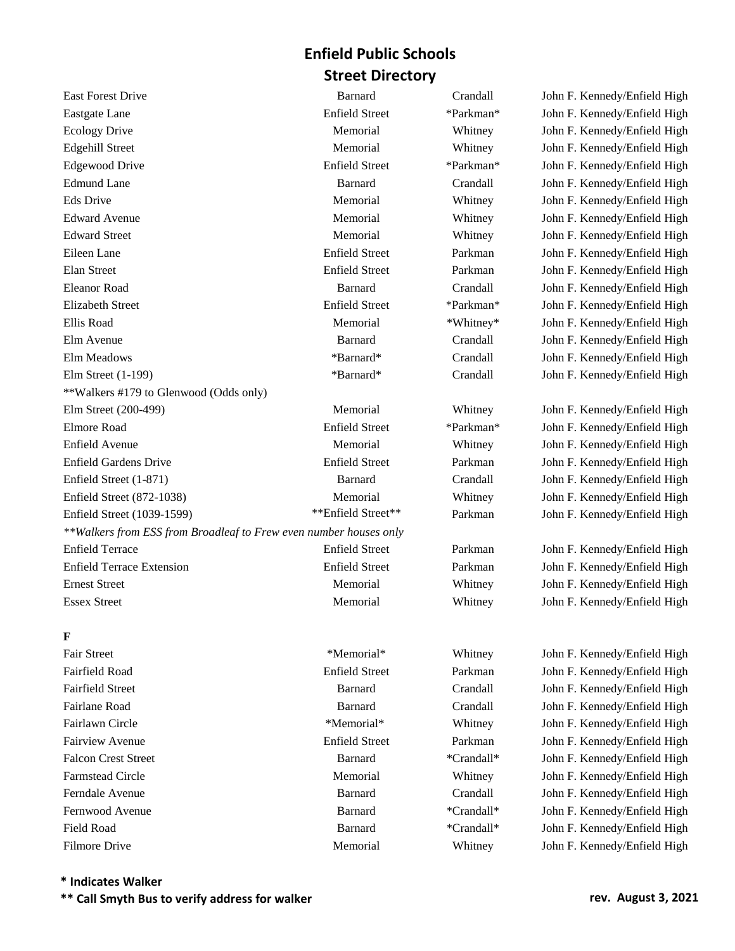East Forest Drive **Barnard** Barnard Crandall John F. Kennedy/Enfield High Eastgate Lane Enfield Street \*Parkman\* John F. Kennedy/Enfield High Ecology Drive **Memorial** Memorial Whitney John F. Kennedy/Enfield High Edgehill Street **Memorial** Memorial Whitney John F. Kennedy/Enfield High Edgewood Drive Enfield Street \*Parkman\* John F. Kennedy/Enfield High Edmund Lane **Barnard** Barnard Crandall John F. Kennedy/Enfield High Eds Drive **Memorial** Memorial Whitney John F. Kennedy/Enfield High Edward Avenue Memorial Memorial Whitney John F. Kennedy/Enfield High Edward Street **Memorial** Memorial Whitney John F. Kennedy/Enfield High Eileen Lane Enfield Street Parkman John F. Kennedy/Enfield High Elan Street Enfield Street Parkman John F. Kennedy/Enfield High Eleanor Road Barnard Crandall John F. Kennedy/Enfield High Elizabeth Street Enfield Street \*Parkman\* John F. Kennedy/Enfield High Ellis Road **Memorial** \*Whitney\* John F. Kennedy/Enfield High Elm Avenue Barnard Crandall John F. Kennedy/Enfield High Elm Meadows \*Barnard\* Crandall John F. Kennedy/Enfield High Elm Street (1-199) \*Barnard\* Crandall John F. Kennedy/Enfield High \*\*Walkers #179 to Glenwood (Odds only) Elm Street (200-499) Memorial Whitney John F. Kennedy/Enfield High Elmore Road Enfield Street \*Parkman\* John F. Kennedy/Enfield High Enfield Avenue **Memorial** Memorial Whitney John F. Kennedy/Enfield High Enfield Gardens Drive Enfield Street Parkman John F. Kennedy/Enfield High Enfield Street (1-871) Barnard Crandall John F. Kennedy/Enfield High Enfield Street (872-1038) Memorial Whitney John F. Kennedy/Enfield High Enfield Street (1039-1599) \*\*\*Enfield Street\*\* Parkman John F. Kennedy/Enfield High *\*\*Walkers from ESS from Broadleaf to Frew even number houses only* Enfield Terrace Enfield Street Parkman John F. Kennedy/Enfield High Enfield Terrace Extension Enfield Street Parkman John F. Kennedy/Enfield High Ernest Street Memorial Memorial Memorial Whitney John F. Kennedy/Enfield High Essex Street Memorial Memorial Whitney John F. Kennedy/Enfield High

## **F**

Fair Street \*Memorial\* \*Memorial\* Whitney John F. Kennedy/Enfield High Fairfield Road Enfield Street Parkman John F. Kennedy/Enfield High Fairfield Street Barnard Crandall John F. Kennedy/Enfield High Fairlane Road Barnard Crandall John F. Kennedy/Enfield High Fairlawn Circle **1986 Example 1986 Example 1986 Whitney** John F. Kennedy/Enfield High Fairview Avenue Enfield Street Parkman John F. Kennedy/Enfield High Falcon Crest Street **Barnard** \*Crandall\* John F. Kennedy/Enfield High Farmstead Circle **Memorial** Memorial Whitney John F. Kennedy/Enfield High Ferndale Avenue Barnard Crandall John F. Kennedy/Enfield High Fernwood Avenue **Barnard** \*Crandall\* John F. Kennedy/Enfield High Field Road **Barnard** \*Crandall\* John F. Kennedy/Enfield High Filmore Drive **Memorial** Memorial Whitney John F. Kennedy/Enfield High

## **\* Indicates Walker**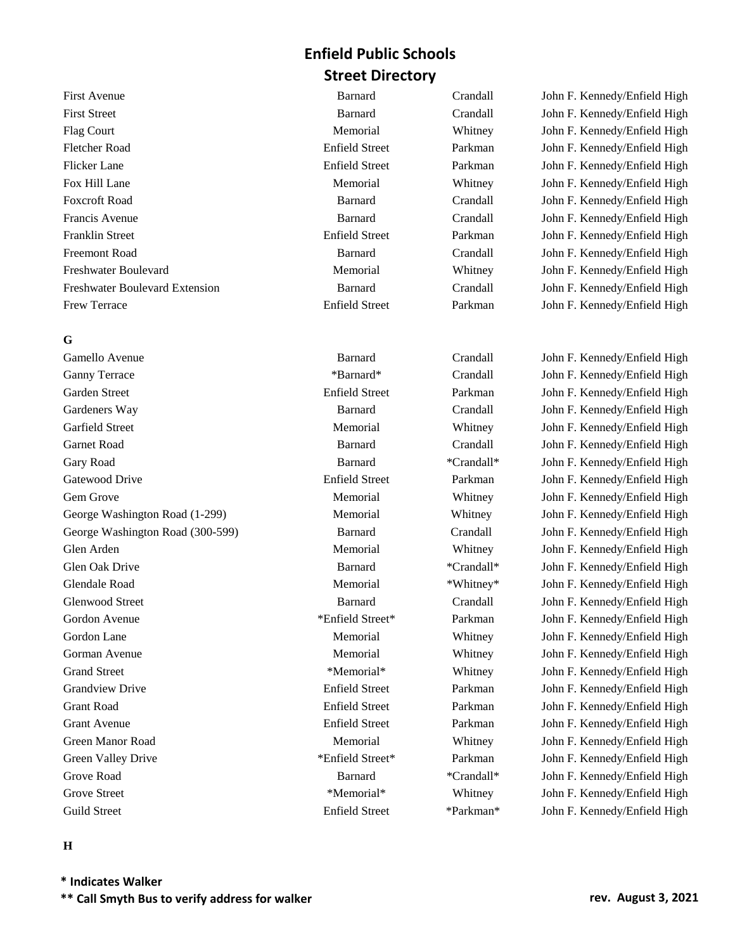First Street Barnard Crandall John F. Kennedy/Enfield High Flag Court **Memorial** Memorial Whitney John F. Kennedy/Enfield High Fletcher Road Enfield Street Parkman John F. Kennedy/Enfield High Flicker Lane Enfield Street Parkman John F. Kennedy/Enfield High Fox Hill Lane **Memorial** Memorial Whitney John F. Kennedy/Enfield High Foxcroft Road Barnard Crandall John F. Kennedy/Enfield High Francis Avenue Barnard Crandall John F. Kennedy/Enfield High Franklin Street Enfield Street Parkman John F. Kennedy/Enfield High Freemont Road Barnard Crandall John F. Kennedy/Enfield High Freshwater Boulevard **Memorial** Memorial Whitney John F. Kennedy/Enfield High Freshwater Boulevard Extension Barnard Crandall John F. Kennedy/Enfield High Frew Terrace **Enfield Street** Parkman John F. Kennedy/Enfield High

## **G**

Gamello Avenue Barnard Crandall John F. Kennedy/Enfield High Ganny Terrace \* \*Barnard\* \* Crandall John F. Kennedy/Enfield High Garden Street Enfield Street Parkman John F. Kennedy/Enfield High Gardeners Way Barnard Crandall John F. Kennedy/Enfield High Garfield Street **Memorial** Memorial Whitney John F. Kennedy/Enfield High Garnet Road Barnard Crandall John F. Kennedy/Enfield High Gary Road **Barnard** \*Crandall\* John F. Kennedy/Enfield High Gatewood Drive **Enfield Street** Parkman John F. Kennedy/Enfield High Gem Grove The Memorial Memorial Memorial Whitney John F. Kennedy/Enfield High George Washington Road (1-299) Memorial Whitney John F. Kennedy/Enfield High George Washington Road (300-599) Barnard Crandall John F. Kennedy/Enfield High Glen Arden **Memorial** Memorial Whitney John F. Kennedy/Enfield High Glen Oak Drive **Barnard** \*Crandall\* John F. Kennedy/Enfield High Glendale Road Memorial \*Whitney\* John F. Kennedy/Enfield High Glenwood Street **Barnard** Crandall John F. Kennedy/Enfield High Gordon Avenue \*Enfield Street\* Parkman John F. Kennedy/Enfield High Gordon Lane **Memorial** Memorial Whitney John F. Kennedy/Enfield High Gorman Avenue **Memorial** Memorial Whitney John F. Kennedy/Enfield High Grand Street \*Memorial\* \*Memorial\* Whitney John F. Kennedy/Enfield High Grandview Drive Enfield Street Parkman John F. Kennedy/Enfield High Grant Road Enfield Street Parkman John F. Kennedy/Enfield High Grant Avenue Enfield Street Parkman John F. Kennedy/Enfield High Green Manor Road **Memorial** Memorial Whitney John F. Kennedy/Enfield High Green Valley Drive \*Enfield Street\* Parkman John F. Kennedy/Enfield High Grove Road **Barnard** \*Crandall\* John F. Kennedy/Enfield High Grove Street \*Memorial\* \*Memorial\* Whitney John F. Kennedy/Enfield High Guild Street Enfield Street Enfield Street \*Parkman\* John F. Kennedy/Enfield High

First Avenue Barnard Crandall John F. Kennedy/Enfield High

#### **H**

**\* Indicates Walker \*\* Call Smyth Bus to verify address for walker rev. August 3, 2021**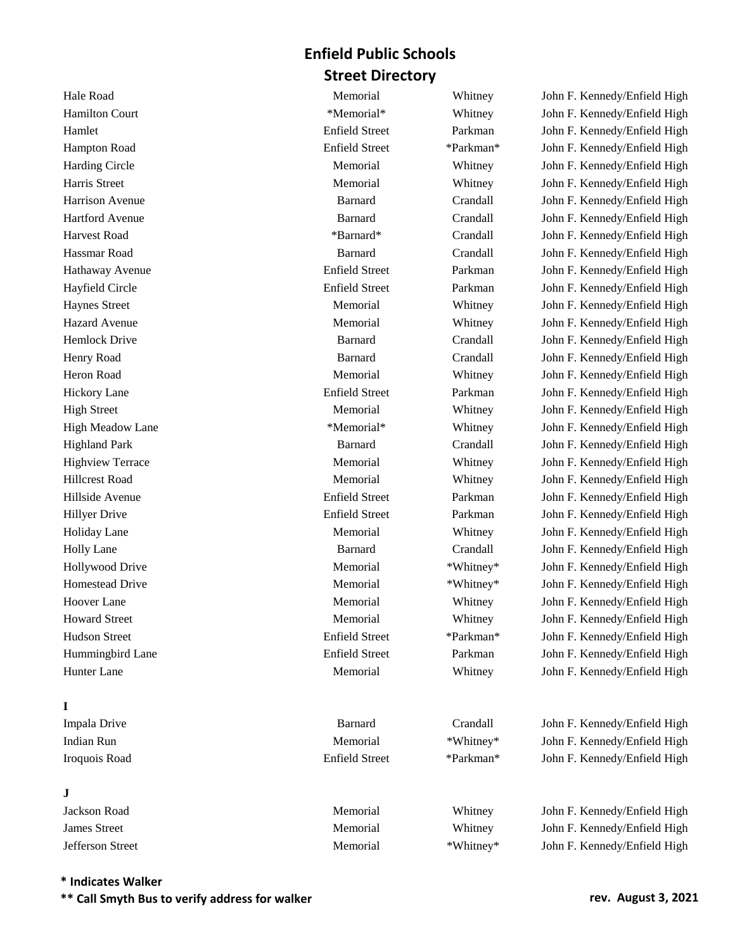Hale Road Memorial Memorial Whitney John F. Kennedy/Enfield High Hamilton Court **\*Memorial\*** \*Memorial\* Whitney John F. Kennedy/Enfield High Hamlet Enfield Street Parkman John F. Kennedy/Enfield High Hampton Road Enfield Street \*Parkman\* John F. Kennedy/Enfield High Harding Circle **Memorial** Memorial Whitney John F. Kennedy/Enfield High Harris Street **Memorial** Memorial Whitney John F. Kennedy/Enfield High Harrison Avenue Barnard Crandall John F. Kennedy/Enfield High Hartford Avenue Barnard Crandall John F. Kennedy/Enfield High Harvest Road **\***Barnard\* **Crandall** John F. Kennedy/Enfield High Hassmar Road Barnard Crandall John F. Kennedy/Enfield High Hathaway Avenue Enfield Street Parkman John F. Kennedy/Enfield High Hayfield Circle **Enfield Street** Parkman John F. Kennedy/Enfield High Haynes Street **Memorial** Memorial Whitney John F. Kennedy/Enfield High Hazard Avenue **Memorial** Memorial Whitney John F. Kennedy/Enfield High Hemlock Drive Barnard Crandall John F. Kennedy/Enfield High Henry Road Barnard Crandall John F. Kennedy/Enfield High Heron Road Memorial Memorial Whitney John F. Kennedy/Enfield High Hickory Lane Enfield Street Parkman John F. Kennedy/Enfield High High Street Memorial Memorial Whitney John F. Kennedy/Enfield High High Meadow Lane \*Memorial\* Whitney John F. Kennedy/Enfield High Highland Park Barnard Crandall John F. Kennedy/Enfield High Highview Terrace Memorial Memorial Memorial Whitney John F. Kennedy/Enfield High Hillcrest Road Memorial Memorial Memorial Whitney John F. Kennedy/Enfield High Hillside Avenue Enfield Street Parkman John F. Kennedy/Enfield High Hillyer Drive Enfield Street Parkman John F. Kennedy/Enfield High Holiday Lane **Memorial** Memorial Whitney John F. Kennedy/Enfield High Holly Lane Barnard Crandall John F. Kennedy/Enfield High Hollywood Drive **Memorial** Memorial \*Whitney\* John F. Kennedy/Enfield High Homestead Drive **Memorial** Memorial \*Whitney\* John F. Kennedy/Enfield High Hoover Lane Memorial Memorial Whitney John F. Kennedy/Enfield High

## **I**

| Impala Drive  |  |
|---------------|--|
| Indian Run    |  |
| Iroquois Road |  |

## **J**

| Memorial | Whitney   | John F. Kennedy/Enfield High |
|----------|-----------|------------------------------|
| Memorial | Whitney   | John F. Kennedy/Enfield High |
| Memorial | *Whitney* | John F. Kennedy/Enfield High |
|          |           |                              |

#### **\* Indicates Walker**

**\*\* Call Smyth Bus to verify address for walker rev. August 3, 2021**

Howard Street Memorial Memorial Memorial Whitney John F. Kennedy/Enfield High Hudson Street Enfield Street \*Parkman\* John F. Kennedy/Enfield High Hummingbird Lane Enfield Street Parkman John F. Kennedy/Enfield High Hunter Lane Memorial Memorial Memorial Whitney John F. Kennedy/Enfield High Barnard Crandall John F. Kennedy/Enfield High Memorial \*Whitney\* John F. Kennedy/Enfield High Enfield Street \*Parkman\* John F. Kennedy/Enfield High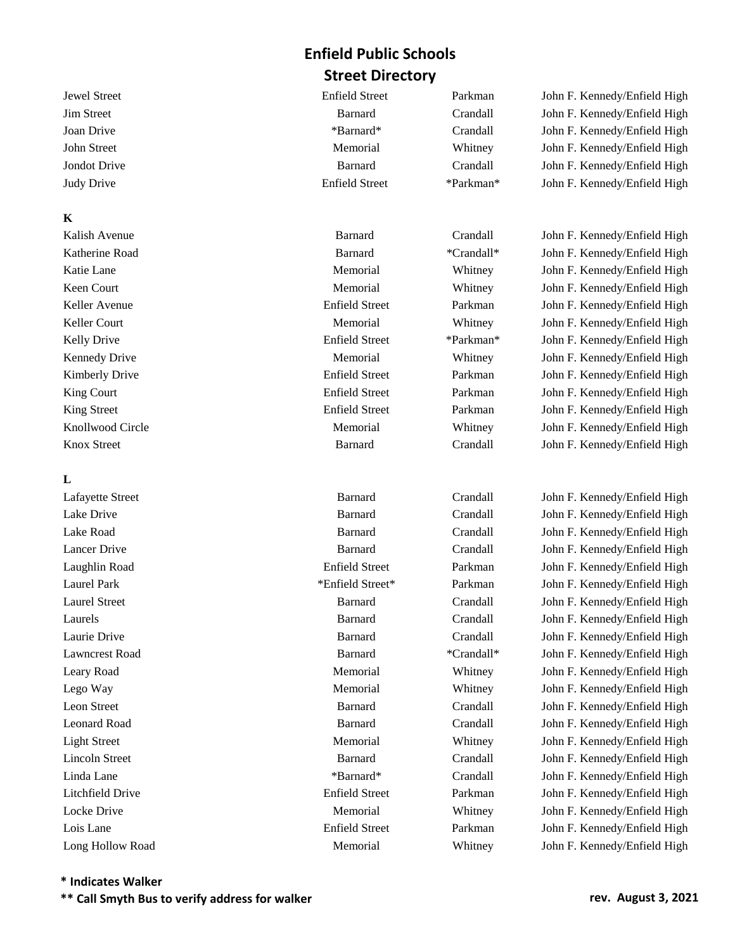Jewel Street Enfield Street Parkman John F. Kennedy/Enfield High Jim Street Barnard Crandall John F. Kennedy/Enfield High Joan Drive \*Barnard\* Crandall John F. Kennedy/Enfield High John Street Memorial Memorial Whitney John F. Kennedy/Enfield High Jondot Drive Barnard Crandall John F. Kennedy/Enfield High Judy Drive Enfield Street \*Parkman\* John F. Kennedy/Enfield High

Knox Street **Barnard** Barnard Crandall John F. Kennedy/Enfield High

Kalish Avenue **Barnard** Crandall John F. Kennedy/Enfield High Katherine Road **Barnard** \*Crandall\* John F. Kennedy/Enfield High Katie Lane **Memorial** Memorial Whitney John F. Kennedy/Enfield High Keen Court **Memorial** Memorial Whitney John F. Kennedy/Enfield High Keller Avenue Enfield Street Parkman John F. Kennedy/Enfield High Keller Court **Memorial** Memorial Whitney John F. Kennedy/Enfield High Kelly Drive **Enfield Street** \*Parkman\* John F. Kennedy/Enfield High Kennedy Drive **Memorial** Memorial Whitney John F. Kennedy/Enfield High Kimberly Drive **Enfield Street** Parkman John F. Kennedy/Enfield High King Court **Enfield Street** Parkman John F. Kennedy/Enfield High King Street Enfield Street Enfield Street Parkman John F. Kennedy/Enfield High Knollwood Circle **Memorial** Memorial Whitney John F. Kennedy/Enfield High

Lafayette Street Barnard Crandall John F. Kennedy/Enfield High Lake Drive Barnard Crandall John F. Kennedy/Enfield High Lake Road Barnard Crandall John F. Kennedy/Enfield High Lancer Drive Barnard Crandall John F. Kennedy/Enfield High Laughlin Road Enfield Street Parkman John F. Kennedy/Enfield High Laurel Park \*Enfield Street\* Parkman John F. Kennedy/Enfield High Laurel Street Barnard Crandall John F. Kennedy/Enfield High Laurels Barnard Crandall John F. Kennedy/Enfield High Laurie Drive Barnard Crandall John F. Kennedy/Enfield High Lawncrest Road Barnard \*Crandall\* John F. Kennedy/Enfield High Leary Road **Memorial** Memorial Whitney John F. Kennedy/Enfield High Lego Way Memorial Whitney John F. Kennedy/Enfield High Leon Street Barnard Crandall John F. Kennedy/Enfield High Leonard Road Barnard Crandall John F. Kennedy/Enfield High Light Street Memorial Whitney John F. Kennedy/Enfield High Lincoln Street Barnard Crandall John F. Kennedy/Enfield High Linda Lane \*Barnard\* Crandall John F. Kennedy/Enfield High Litchfield Drive Enfield Street Parkman John F. Kennedy/Enfield High Locke Drive **Memorial** Memorial Whitney John F. Kennedy/Enfield High Lois Lane Enfield Street Parkman John F. Kennedy/Enfield High Long Hollow Road Memorial Whitney John F. Kennedy/Enfield High

# **K**

## **L**

**\* Indicates Walker**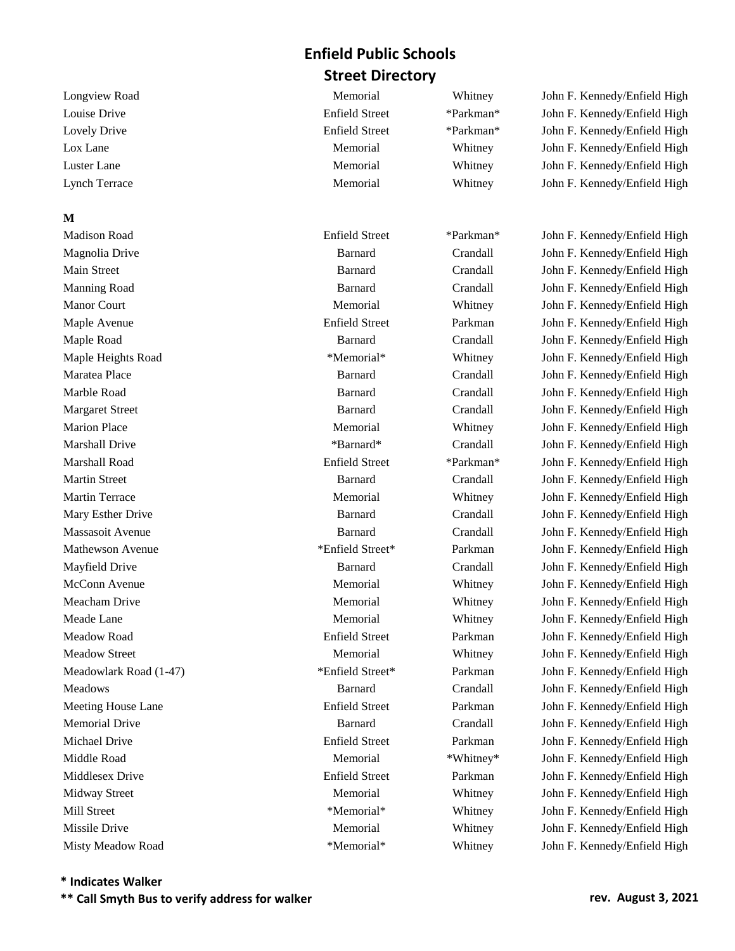## **M**

Longview Road Memorial Memorial Whitney John F. Kennedy/Enfield High Louise Drive Enfield Street \*Parkman\* John F. Kennedy/Enfield High Lovely Drive Enfield Street \*Parkman\* John F. Kennedy/Enfield High Lox Lane **Memorial** Memorial Whitney John F. Kennedy/Enfield High Luster Lane **Memorial** Memorial Whitney John F. Kennedy/Enfield High Lynch Terrace Memorial Whitney John F. Kennedy/Enfield High

Madison Road Enfield Street \*Parkman\* John F. Kennedy/Enfield High Magnolia Drive Barnard Crandall John F. Kennedy/Enfield High Main Street Barnard Crandall John F. Kennedy/Enfield High Manning Road Barnard Crandall John F. Kennedy/Enfield High Manor Court **Memorial** Memorial Whitney John F. Kennedy/Enfield High Maple Avenue Enfield Street Parkman John F. Kennedy/Enfield High Maple Road Barnard Crandall John F. Kennedy/Enfield High Maple Heights Road \*Memorial\* \*Memorial\* Whitney John F. Kennedy/Enfield High Maratea Place Barnard Crandall John F. Kennedy/Enfield High Marble Road Barnard Crandall John F. Kennedy/Enfield High Margaret Street **Barnard** Barnard Crandall John F. Kennedy/Enfield High Marion Place Memorial Memorial Memorial Whitney John F. Kennedy/Enfield High Marshall Drive \*Barnard\* \*Barnard\* Crandall John F. Kennedy/Enfield High Marshall Road Enfield Street \*Parkman\* John F. Kennedy/Enfield High Martin Street Barnard Crandall John F. Kennedy/Enfield High Martin Terrace **Memorial** Memorial Whitney John F. Kennedy/Enfield High Mary Esther Drive **Barnard** Barnard Crandall John F. Kennedy/Enfield High Massasoit Avenue Barnard Crandall John F. Kennedy/Enfield High Mathewson Avenue \*Enfield Street\* Parkman John F. Kennedy/Enfield High Mayfield Drive **Barnard** Crandall John F. Kennedy/Enfield High John F. Kennedy/Enfield High McConn Avenue **Memorial** Memorial Whitney John F. Kennedy/Enfield High Meacham Drive **Memorial** Memorial Whitney John F. Kennedy/Enfield High Meade Lane Memorial Memorial Memorial Whitney John F. Kennedy/Enfield High Meadow Road Enfield Street Parkman John F. Kennedy/Enfield High Meadow Street Memorial Memorial Memorial Whitney John F. Kennedy/Enfield High Meadowlark Road (1-47) \* Finfield Street\* Parkman John F. Kennedy/Enfield High Meadows Barnard Crandall John F. Kennedy/Enfield High Meeting House Lane **Enfield Street** Parkman John F. Kennedy/Enfield High Memorial Drive Barnard Crandall John F. Kennedy/Enfield High Michael Drive Enfield Street Parkman John F. Kennedy/Enfield High Middle Road Memorial \*Whitney\* John F. Kennedy/Enfield High Middlesex Drive Enfield Street Parkman John F. Kennedy/Enfield High Midway Street Memorial Memorial Memorial Whitney John F. Kennedy/Enfield High Mill Street \*Memorial\* \*Memorial\* Whitney John F. Kennedy/Enfield High Missile Drive **Memorial** Memorial Whitney John F. Kennedy/Enfield High Misty Meadow Road \*Memorial\* \*Memorial\* Whitney John F. Kennedy/Enfield High

## **\* Indicates Walker**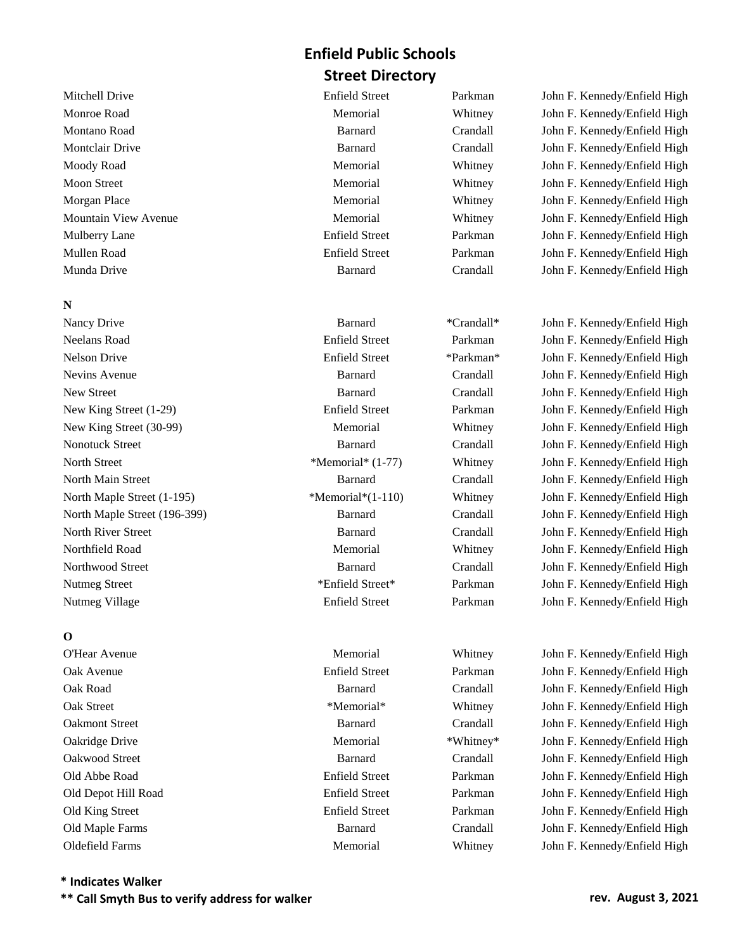Munda Drive Barnard Crandall John F. Kennedy/Enfield High

## **N**

Neelans Road Enfield Street Parkman John F. Kennedy/Enfield High Nelson Drive Enfield Street \*Parkman\* John F. Kennedy/Enfield High Nevins Avenue Barnard Crandall John F. Kennedy/Enfield High New Street Barnard Crandall John F. Kennedy/Enfield High New King Street (1-29) **Enfield Street Parkman** John F. Kennedy/Enfield High New King Street (30-99) Memorial Memorial Whitney John F. Kennedy/Enfield High Nonotuck Street **Barnard** Barnard Crandall John F. Kennedy/Enfield High North Street \*Memorial\* (1-77) Whitney John F. Kennedy/Enfield High North Main Street **Barnard** Barnard Crandall John F. Kennedy/Enfield High North Maple Street (1-195) \*\*Memorial\*(1-110) Whitney John F. Kennedy/Enfield High North Maple Street (196-399) Barnard Crandall John F. Kennedy/Enfield High North River Street **Barnard** Barnard Crandall John F. Kennedy/Enfield High Northfield Road Memorial Memorial Whitney John F. Kennedy/Enfield High Northwood Street **Barnard** Crandall John F. Kennedy/Enfield High Nutmeg Street \* \*Enfield Street \* Parkman John F. Kennedy/Enfield High Nutmeg Village Enfield Street Parkman John F. Kennedy/Enfield High

## **O**

Mitchell Drive Enfield Street Parkman John F. Kennedy/Enfield High Monroe Road Memorial Memorial Whitney John F. Kennedy/Enfield High Montano Road Barnard Crandall John F. Kennedy/Enfield High Montclair Drive Barnard Crandall John F. Kennedy/Enfield High Moody Road Memorial Memorial Whitney John F. Kennedy/Enfield High Moon Street **Memorial** Memorial Whitney John F. Kennedy/Enfield High Morgan Place **Memorial** Memorial Whitney John F. Kennedy/Enfield High Mountain View Avenue **Memorial** Memorial Whitney John F. Kennedy/Enfield High Mulberry Lane Enfield Street Parkman John F. Kennedy/Enfield High Mullen Road Enfield Street Parkman John F. Kennedy/Enfield High

Nancy Drive **Barnard** \*Crandall\* John F. Kennedy/Enfield High

O'Hear Avenue Memorial Whitney John F. Kennedy/Enfield High Oak Avenue Enfield Street Parkman John F. Kennedy/Enfield High Oak Road Barnard Crandall John F. Kennedy/Enfield High Oak Street \*Memorial\* \*Memorial\* Whitney John F. Kennedy/Enfield High Oakmont Street Barnard Crandall John F. Kennedy/Enfield High Oakridge Drive **Memorial** Memorial \*Whitney\* John F. Kennedy/Enfield High Oakwood Street Barnard Crandall John F. Kennedy/Enfield High Old Abbe Road Enfield Street Parkman John F. Kennedy/Enfield High Old Depot Hill Road Enfield Street Parkman John F. Kennedy/Enfield High Old King Street Enfield Street Parkman John F. Kennedy/Enfield High Old Maple Farms Barnard Crandall John F. Kennedy/Enfield High Oldefield Farms Memorial Whitney John F. Kennedy/Enfield High

**\* Indicates Walker**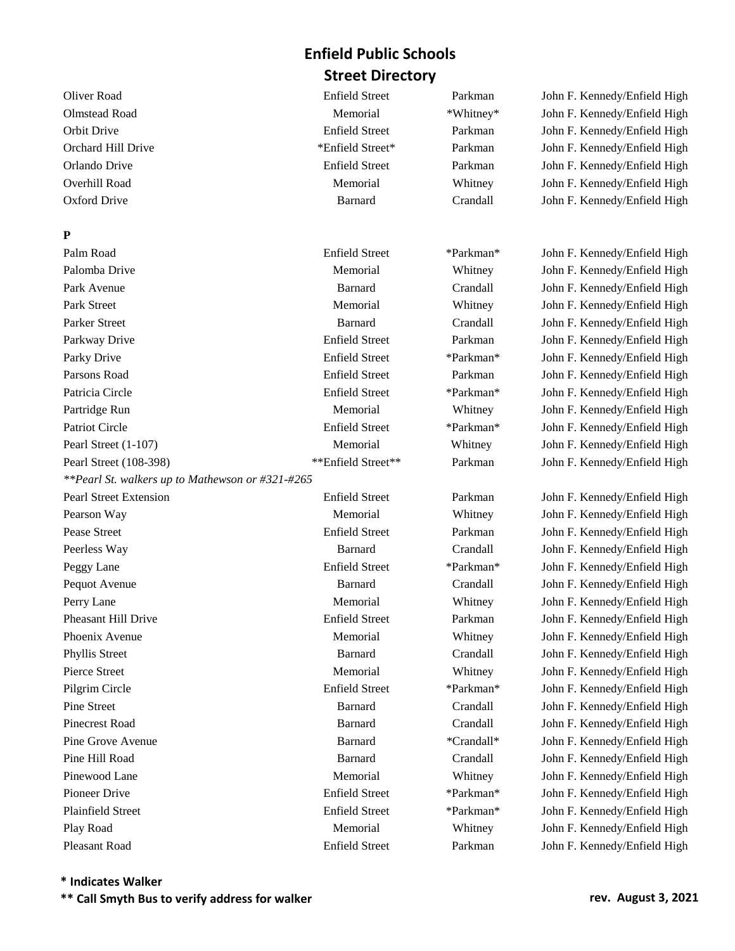## **P**

Palm Road Enfield Street \*Parkman\* John F. Kennedy/Enfield High Palomba Drive **Memorial** Memorial Whitney John F. Kennedy/Enfield High Park Avenue Barnard Crandall John F. Kennedy/Enfield High Park Street The Memorial Memorial Memorial Whitney John F. Kennedy/Enfield High Parker Street **Barnard** Barnard Crandall John F. Kennedy/Enfield High Parkway Drive **Enfield Street** Parkman John F. Kennedy/Enfield High Parky Drive Enfield Street \*Parkman\* John F. Kennedy/Enfield High Parsons Road **Enfield Street** Parkman John F. Kennedy/Enfield High Patricia Circle **Enfield Street** \*Parkman\* John F. Kennedy/Enfield High Partridge Run Memorial Memorial Whitney John F. Kennedy/Enfield High Patriot Circle Enfield Street \*Parkman\* John F. Kennedy/Enfield High Pearl Street (1-107) Memorial Memorial Whitney John F. Kennedy/Enfield High Pearl Street (108-398) \*\*\*Enfield Street\*\* Parkman John F. Kennedy/Enfield High *\*\*Pearl St. walkers up to Mathewson or #321-#265* Pearl Street Extension **Enfield Street Parkman** John F. Kennedy/Enfield High Pearson Way **Memorial** Memorial Whitney John F. Kennedy/Enfield High Pease Street **Enfield Street** Enfield Street Parkman John F. Kennedy/Enfield High Peerless Way Barnard Crandall John F. Kennedy/Enfield High Peggy Lane Enfield Street \*Parkman\* John F. Kennedy/Enfield High Pequot Avenue Barnard Crandall John F. Kennedy/Enfield High Perry Lane Memorial Memorial Whitney John F. Kennedy/Enfield High Pheasant Hill Drive **Enfield Street** Parkman John F. Kennedy/Enfield High Phoenix Avenue **Memorial** Memorial Whitney John F. Kennedy/Enfield High Phyllis Street Barnard Crandall John F. Kennedy/Enfield High Pierce Street The Street Memorial Memorial Memorial Whitney John F. Kennedy/Enfield High Pilgrim Circle **Enfield Street** \*Parkman\* John F. Kennedy/Enfield High Pine Street **Barnard** Barnard Crandall John F. Kennedy/Enfield High Pinecrest Road **Barnard** Barnard Crandall John F. Kennedy/Enfield High Pine Grove Avenue **Barnard** \*Crandall\* John F. Kennedy/Enfield High Pine Hill Road Barnard Crandall John F. Kennedy/Enfield High Pinewood Lane **Memorial** Memorial Whitney John F. Kennedy/Enfield High Pioneer Drive **Enfield Street** \*Parkman\* John F. Kennedy/Enfield High Plainfield Street Enfield Street \*Parkman\* John F. Kennedy/Enfield High Play Road Memorial Memorial Whitney John F. Kennedy/Enfield High Pleasant Road Enfield Street Parkman John F. Kennedy/Enfield High

Oliver Road Enfield Street Parkman John F. Kennedy/Enfield High Olmstead Road **Memorial** Memorial \*Whitney\* John F. Kennedy/Enfield High Orbit Drive Enfield Street Parkman John F. Kennedy/Enfield High Orchard Hill Drive \*Enfield Street\* Parkman John F. Kennedy/Enfield High Orlando Drive Enfield Street Parkman John F. Kennedy/Enfield High Overhill Road **Memorial** Memorial Whitney John F. Kennedy/Enfield High Oxford Drive Barnard Crandall John F. Kennedy/Enfield High

**\* Indicates Walker**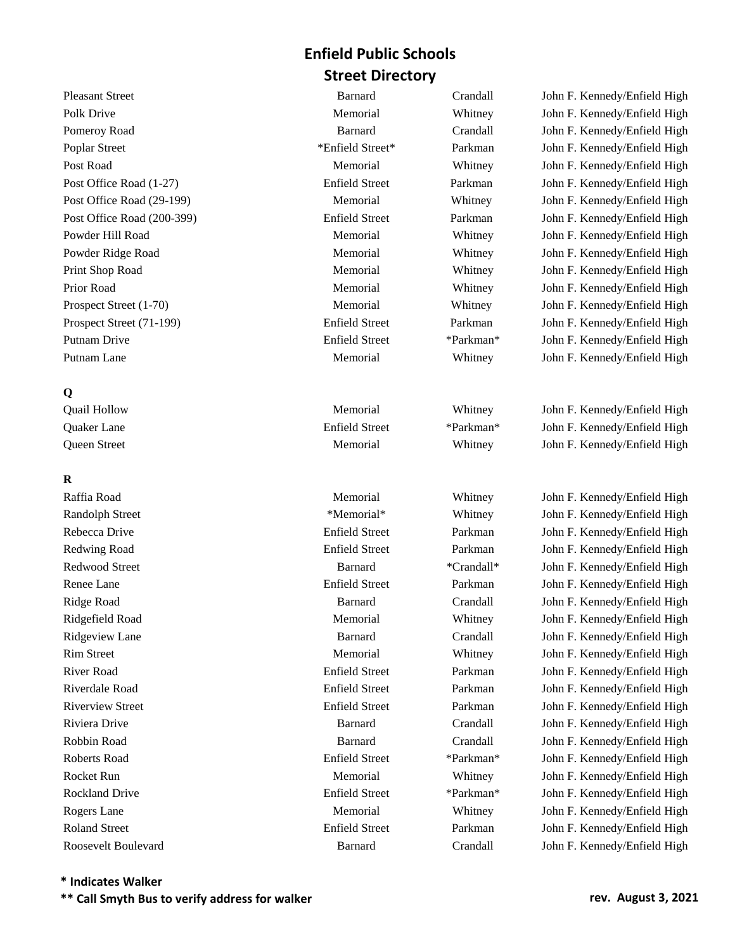## **Q**

## **R**

Pleasant Street **Barnard** Barnard Crandall John F. Kennedy/Enfield High Polk Drive **Memorial** Memorial Whitney John F. Kennedy/Enfield High Pomeroy Road **Barnard** Barnard Crandall John F. Kennedy/Enfield High Poplar Street \* \*Enfield Street \* Parkman John F. Kennedy/Enfield High Post Road Memorial Memorial Whitney John F. Kennedy/Enfield High Post Office Road (1-27) **Enfield Street** Parkman John F. Kennedy/Enfield High Post Office Road (29-199) Memorial Whitney John F. Kennedy/Enfield High Post Office Road (200-399) Enfield Street Parkman John F. Kennedy/Enfield High Powder Hill Road Memorial Memorial Memorial Whitney John F. Kennedy/Enfield High Powder Ridge Road Memorial Memorial Whitney John F. Kennedy/Enfield High Print Shop Road Memorial Memorial Whitney John F. Kennedy/Enfield High Prior Road Memorial Memorial Whitney John F. Kennedy/Enfield High Prospect Street (1-70) Memorial Memorial Whitney John F. Kennedy/Enfield High Prospect Street (71-199) **Enfield Street** Parkman John F. Kennedy/Enfield High Putnam Drive Enfield Street \*Parkman\* John F. Kennedy/Enfield High Putnam Lane **Memorial** Memorial Whitney John F. Kennedy/Enfield High

Quail Hollow Memorial Whitney John F. Kennedy/Enfield High Quaker Lane Enfield Street \*Parkman\* John F. Kennedy/Enfield High Queen Street The Memorial Memorial Memorial Whitney John F. Kennedy/Enfield High

Raffia Road Memorial Memorial Whitney John F. Kennedy/Enfield High Randolph Street \*Memorial\* \*Memorial\* Whitney John F. Kennedy/Enfield High Rebecca Drive **Enfield Street** Parkman John F. Kennedy/Enfield High Redwing Road **Enfield Street** Parkman John F. Kennedy/Enfield High Redwood Street **Barnard** \*Crandall\* John F. Kennedy/Enfield High Renee Lane **Enfield Street** Parkman John F. Kennedy/Enfield High Ridge Road Barnard Crandall John F. Kennedy/Enfield High Ridgefield Road Memorial Memorial Whitney John F. Kennedy/Enfield High Ridgeview Lane **Barnard** Barnard Crandall John F. Kennedy/Enfield High Rim Street **Memorial** Memorial Whitney John F. Kennedy/Enfield High River Road Enfield Street Parkman John F. Kennedy/Enfield High Riverdale Road Enfield Street Parkman John F. Kennedy/Enfield High Riverview Street Enfield Street Enfield Street Parkman John F. Kennedy/Enfield High Riviera Drive Barnard Crandall John F. Kennedy/Enfield High Robbin Road Barnard Crandall John F. Kennedy/Enfield High Roberts Road **Enfield Street** \*Parkman\* John F. Kennedy/Enfield High Rocket Run and The Memorial Memorial Memorial Whitney John F. Kennedy/Enfield High Rockland Drive **Enfield Street** \*Parkman\* John F. Kennedy/Enfield High Rogers Lane The Contract Contract Memorial Memorial Memorial Memorial Memorial Memorial John F. Kennedy/Enfield High Roland Street Enfield Street Parkman John F. Kennedy/Enfield High Roosevelt Boulevard **Barnard** Barnard Crandall John F. Kennedy/Enfield High

## **\* Indicates Walker**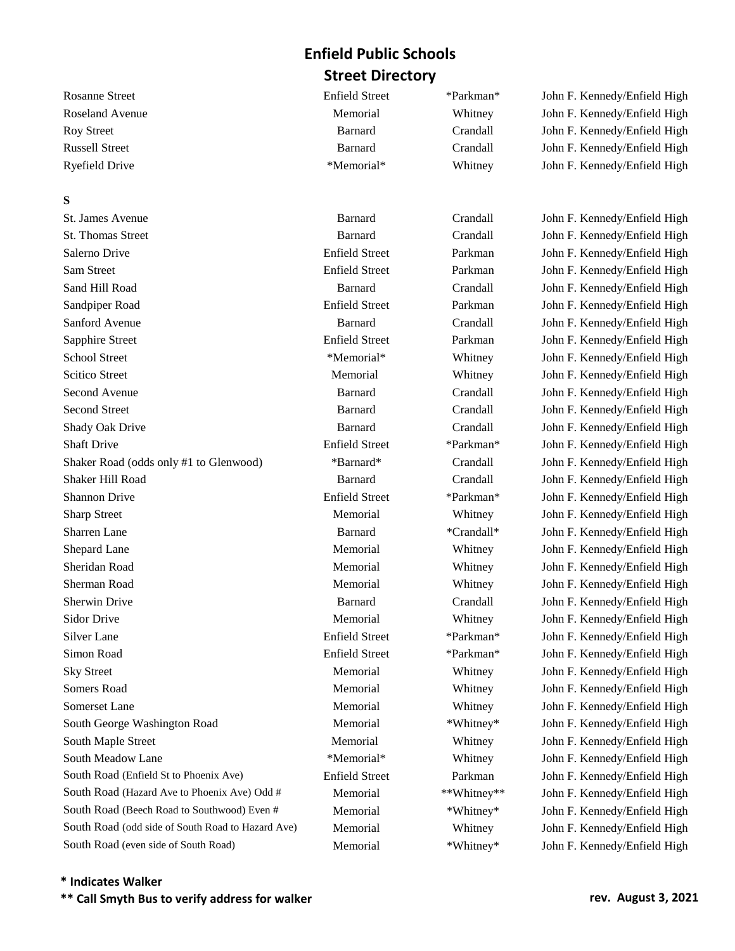#### **S**

St. James Avenue Barnard Crandall John F. Kennedy/Enfield High St. Thomas Street **Barnard** Barnard Crandall John F. Kennedy/Enfield High Salerno Drive Enfield Street Parkman John F. Kennedy/Enfield High Sam Street Enfield Street Enfield Street Parkman John F. Kennedy/Enfield High Sand Hill Road Barnard Crandall John F. Kennedy/Enfield High Sandpiper Road **Enfield Street** Parkman John F. Kennedy/Enfield High Sanford Avenue Barnard Crandall John F. Kennedy/Enfield High Sapphire Street Enfield Street Enfield Street Parkman John F. Kennedy/Enfield High School Street \*Memorial\* Whitney John F. Kennedy/Enfield High Scitico Street **Memorial** Memorial Whitney John F. Kennedy/Enfield High Second Avenue Barnard Crandall John F. Kennedy/Enfield High Second Street **Barnard** Barnard Crandall John F. Kennedy/Enfield High Shady Oak Drive **Barnard** Crandall John F. Kennedy/Enfield High John F. Kennedy/Enfield High Shaft Drive Enfield Street \*Parkman\* John F. Kennedy/Enfield High Shaker Road (odds only #1 to Glenwood) \*Barnard\* Crandall John F. Kennedy/Enfield High Shaker Hill Road Barnard Crandall John F. Kennedy/Enfield High Shannon Drive Enfield Street \*Parkman\* John F. Kennedy/Enfield High Sharp Street Memorial Memorial Whitney John F. Kennedy/Enfield High Sharren Lane **Barnard** \*Crandall\* John F. Kennedy/Enfield High Shepard Lane **Memorial** Memorial Whitney John F. Kennedy/Enfield High Sheridan Road Memorial Memorial Whitney John F. Kennedy/Enfield High Sherman Road **Memorial** Memorial Whitney John F. Kennedy/Enfield High Sherwin Drive Barnard Crandall John F. Kennedy/Enfield High Sidor Drive **Memorial** Memorial Whitney John F. Kennedy/Enfield High Silver Lane Enfield Street \*Parkman\* John F. Kennedy/Enfield High Simon Road Enfield Street \*Parkman\* John F. Kennedy/Enfield High Sky Street Memorial Memorial Whitney John F. Kennedy/Enfield High Somers Road **Memorial** Memorial Whitney John F. Kennedy/Enfield High Somerset Lane Memorial Memorial Memorial Whitney John F. Kennedy/Enfield High South George Washington Road Memorial \*Whitney\* John F. Kennedy/Enfield High South Maple Street The Memorial Memorial Memorial Whitney John F. Kennedy/Enfield High South Meadow Lane \*Memorial\* \*Memorial\* Whitney John F. Kennedy/Enfield High South Road (Enfield St to Phoenix Ave) **Enfield Street** Parkman John F. Kennedy/Enfield High South Road (Hazard Ave to Phoenix Ave) Odd # Memorial \*\*Whitney\*\* John F. Kennedy/Enfield High South Road (Beech Road to Southwood) Even # Memorial \*Whitney\* John F. Kennedy/Enfield High South Road (odd side of South Road to Hazard Ave) Memorial Whitney John F. Kennedy/Enfield High South Road (even side of South Road) Memorial \*Whitney\* John F. Kennedy/Enfield High

Rosanne Street Enfield Street Enfield Street \*Parkman\* John F. Kennedy/Enfield High Roseland Avenue **Memorial** Memorial Memorial Whitney John F. Kennedy/Enfield High Roy Street **Barnard** Barnard Crandall John F. Kennedy/Enfield High Russell Street Barnard Crandall John F. Kennedy/Enfield High Ryefield Drive \*Memorial\* Whitney John F. Kennedy/Enfield High

#### **\* Indicates Walker**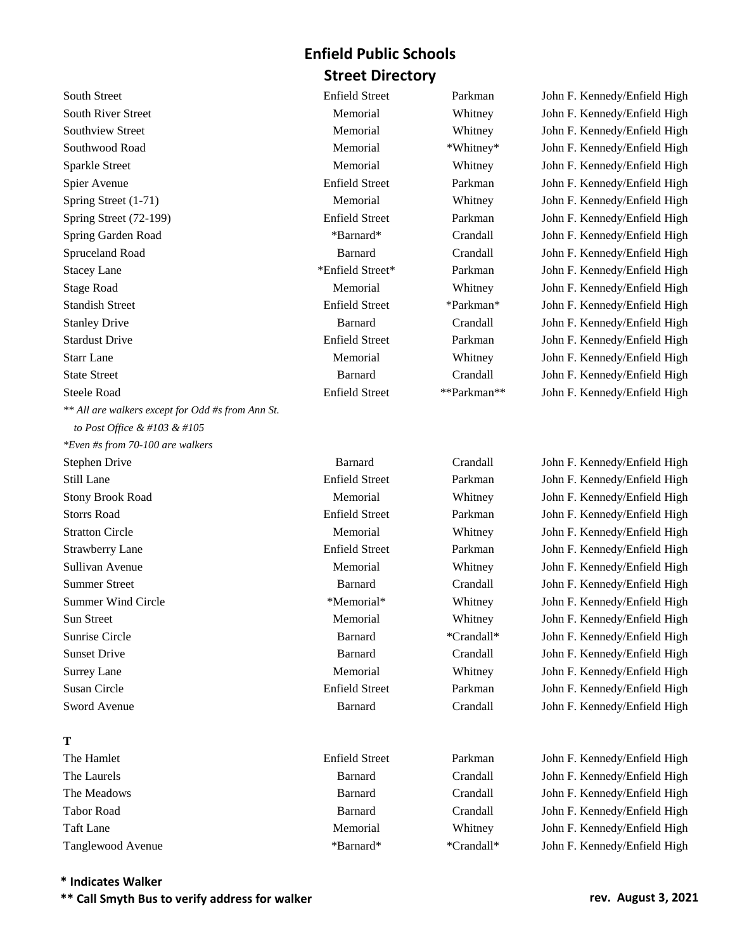South Street Enfield Street Enfield Street Parkman John F. Kennedy/Enfield High South River Street Memorial Memorial Memorial Whitney John F. Kennedy/Enfield High Southview Street Memorial Memorial Memorial Whitney John F. Kennedy/Enfield High Southwood Road **Memorial** Memorial \*Whitney\* John F. Kennedy/Enfield High Sparkle Street Memorial Memorial Whitney John F. Kennedy/Enfield High Spier Avenue Enfield Street Parkman John F. Kennedy/Enfield High Spring Street (1-71) Memorial Memorial Whitney John F. Kennedy/Enfield High Spring Street (72-199) Enfield Street Parkman John F. Kennedy/Enfield High Spring Garden Road \*Barnard\* Crandall John F. Kennedy/Enfield High Spruceland Road **Barnard** Crandall John F. Kennedy/Enfield High Stacey Lane \*Enfield Street\* Parkman John F. Kennedy/Enfield High Stage Road **Memorial** Memorial Whitney John F. Kennedy/Enfield High Standish Street Enfield Street Enfield Street \*Parkman\* John F. Kennedy/Enfield High Stanley Drive **Barnard** Crandall John F. Kennedy/Enfield High Stardust Drive Enfield Street Parkman John F. Kennedy/Enfield High Starr Lane Subsetsmann and Memorial Memorial Memorial Memorial Starr Lane John F. Kennedy/Enfield High State Street **Barnard** Barnard Crandall John F. Kennedy/Enfield High Steele Road Enfield Street \*\*Parkman\*\* John F. Kennedy/Enfield High *\*\* All are walkers except for Odd #s from Ann St. to Post Office & #103 & #105 \*Even #s from 70-100 are walkers* Stephen Drive **Barnard** Crandall John F. Kennedy/Enfield High Still Lane Enfield Street Parkman John F. Kennedy/Enfield High Stony Brook Road Memorial Memorial Whitney John F. Kennedy/Enfield High Storrs Road Enfield Street Parkman John F. Kennedy/Enfield High Stratton Circle **Memorial** Memorial Whitney John F. Kennedy/Enfield High Strawberry Lane Enfield Street Parkman John F. Kennedy/Enfield High Sullivan Avenue **Memorial** Memorial Memorial Whitney John F. Kennedy/Enfield High Summer Street Barnard Crandall John F. Kennedy/Enfield High Summer Wind Circle \*Memorial\* Whitney John F. Kennedy/Enfield High

## **T**

The Hamlet **Enfield Street** Parkman John F. Kennedy/Enfield High The Laurels **Barnard** Crandall John F. Kennedy/Enfield High John F. Kennedy/Enfield High The Meadows Barnard Crandall John F. Kennedy/Enfield High Tabor Road Barnard Crandall John F. Kennedy/Enfield High Taft Lane **Memorial** Memorial Whitney John F. Kennedy/Enfield High Tanglewood Avenue \*Barnard\* \*Crandall\* John F. Kennedy/Enfield High

Sun Street Memorial Memorial Memorial Whitney John F. Kennedy/Enfield High Sunrise Circle **Example 2** Samuard \*Crandall\* John F. Kennedy/Enfield High Sunset Drive Barnard Crandall John F. Kennedy/Enfield High Surrey Lane **Memorial** Memorial Whitney John F. Kennedy/Enfield High Susan Circle Enfield Street Parkman John F. Kennedy/Enfield High Sword Avenue **Barnard** Barnard Crandall John F. Kennedy/Enfield High

#### **\* Indicates Walker**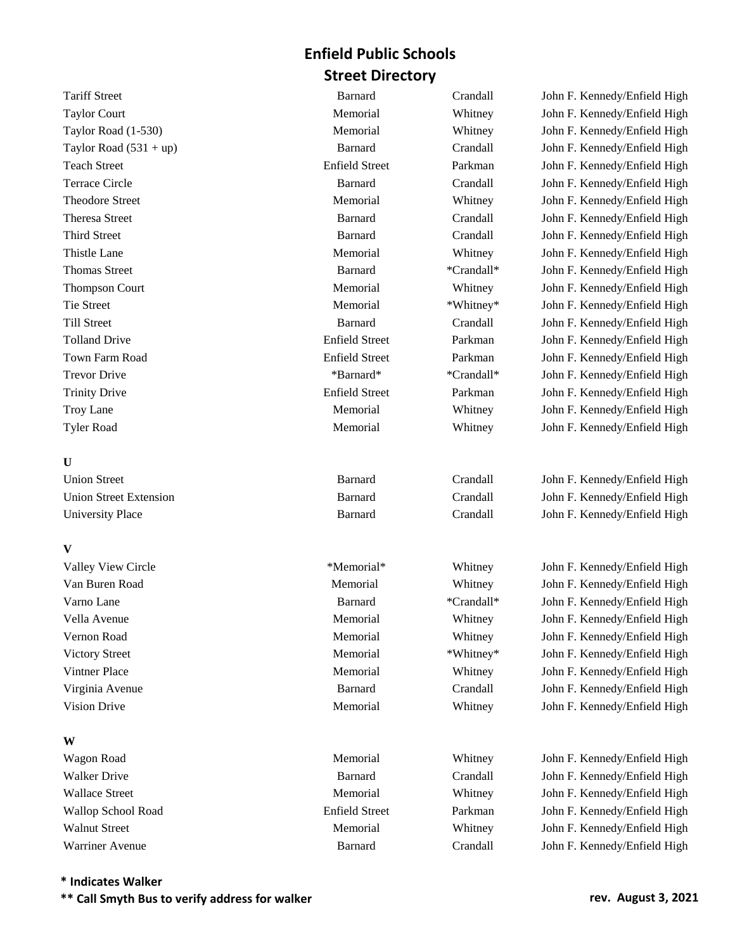## **U**

| <b>Union Street</b>           | <b>Barnard</b> |
|-------------------------------|----------------|
| <b>Union Street Extension</b> | <b>Barnard</b> |
| University Place              | <b>Barnard</b> |

#### **V**

**W**

| Valley View Circle    | *Memorial*     | Whitney    | John F. Kennedy/Enfield High |
|-----------------------|----------------|------------|------------------------------|
| Van Buren Road        | Memorial       | Whitney    | John F. Kennedy/Enfield High |
| Varno Lane            | <b>Barnard</b> | *Crandall* | John F. Kennedy/Enfield High |
| Vella Avenue          | Memorial       | Whitney    | John F. Kennedy/Enfield High |
| Vernon Road           | Memorial       | Whitney    | John F. Kennedy/Enfield High |
| <b>Victory Street</b> | Memorial       | *Whitney*  | John F. Kennedy/Enfield High |
| Vintner Place         | Memorial       | Whitney    | John F. Kennedy/Enfield High |
| Virginia Avenue       | <b>Barnard</b> | Crandall   | John F. Kennedy/Enfield High |
| Vision Drive          | Memorial       | Whitney    | John F. Kennedy/Enfield High |

Tariff Street Barnard Crandall John F. Kennedy/Enfield High Taylor Court **Memorial** Memorial Whitney John F. Kennedy/Enfield High Taylor Road (1-530) **Memorial** Memorial Whitney John F. Kennedy/Enfield High Taylor Road (531 + up) Barnard Crandall John F. Kennedy/Enfield High Teach Street Enfield Street Parkman John F. Kennedy/Enfield High Terrace Circle Barnard Crandall John F. Kennedy/Enfield High Theodore Street Memorial Memorial Memorial Whitney John F. Kennedy/Enfield High Theresa Street Barnard Crandall John F. Kennedy/Enfield High Third Street **Barnard** Barnard Crandall John F. Kennedy/Enfield High Thistle Lane Thistle Lane Memorial Memorial Whitney John F. Kennedy/Enfield High Thomas Street Barnard \*Crandall\* John F. Kennedy/Enfield High Thompson Court **Memorial** Memorial Whitney John F. Kennedy/Enfield High Tie Street The Street Memorial **Memorial 1996** \*Whitney\* John F. Kennedy/Enfield High Till Street Barnard Crandall John F. Kennedy/Enfield High Tolland Drive Enfield Street Parkman John F. Kennedy/Enfield High Town Farm Road Enfield Street Parkman John F. Kennedy/Enfield High Trevor Drive \* The state of the state of the state  $*$ Crandall\* John F. Kennedy/Enfield High Trinity Drive **Enfield Street** Parkman John F. Kennedy/Enfield High Troy Lane Memorial Memorial Whitney John F. Kennedy/Enfield High Tyler Road **Memorial** Memorial Whitney John F. Kennedy/Enfield High

> Crandall John F. Kennedy/Enfield High Crandall John F. Kennedy/Enfield High Crandall John F. Kennedy/Enfield High

Wagon Road **Memorial** Memorial Whitney John F. Kennedy/Enfield High Walker Drive **Barnard** Crandall John F. Kennedy/Enfield High Grandall John F. Kennedy/Enfield High Wallace Street **Memorial** Memorial Whitney John F. Kennedy/Enfield High Wallop School Road **Enfield Street** Parkman John F. Kennedy/Enfield High Walnut Street **Memorial** Memorial Memorial Whitney John F. Kennedy/Enfield High Warriner Avenue **Barnard** Barnard Crandall John F. Kennedy/Enfield High

## **\* Indicates Walker**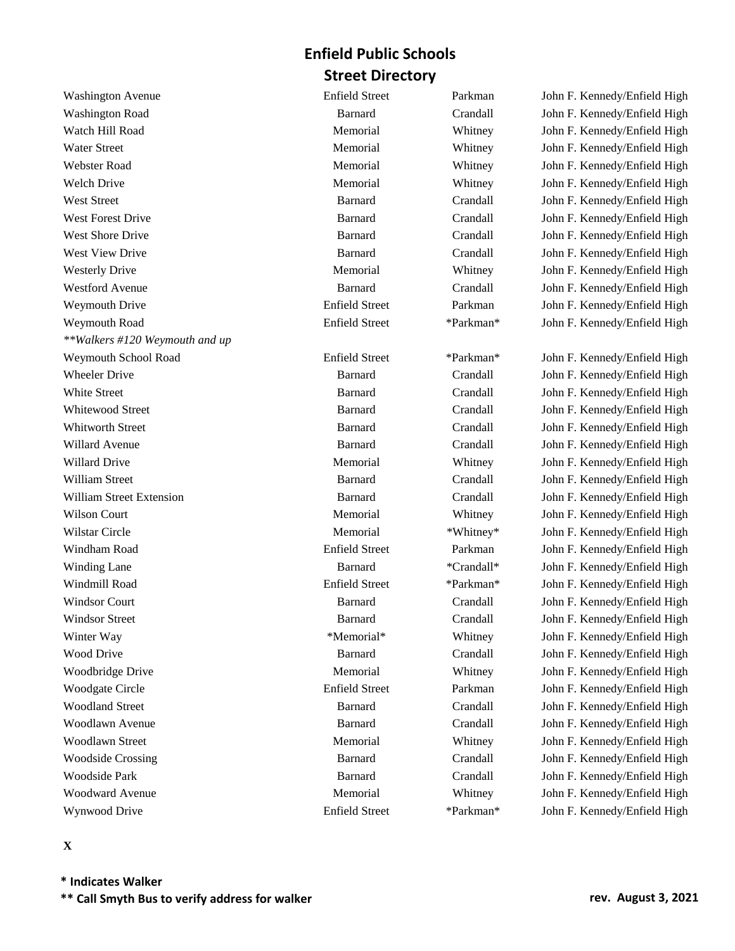Washington Avenue **Enfield Street** Parkman John F. Kennedy/Enfield High Washington Road **Barnard** Crandall John F. Kennedy/Enfield High Watch Hill Road **Memorial** Memorial Whitney John F. Kennedy/Enfield High Water Street Memorial Memorial Memorial Whitney John F. Kennedy/Enfield High Webster Road Memorial Memorial Whitney John F. Kennedy/Enfield High Welch Drive **Memorial** Memorial Whitney John F. Kennedy/Enfield High West Street **Barnard** Crandall John F. Kennedy/Enfield High John F. Kennedy/Enfield High West Forest Drive **Barnard** Crandall John F. Kennedy/Enfield High West Shore Drive **Barnard** Crandall John F. Kennedy/Enfield High West View Drive **Barnard** Crandall John F. Kennedy/Enfield High John F. Kennedy/Enfield High Westerly Drive Memorial Memorial Memorial Whitney John F. Kennedy/Enfield High Westford Avenue Barnard Crandall John F. Kennedy/Enfield High Weymouth Drive **Enfield Street** Parkman John F. Kennedy/Enfield High Weymouth Road **Enfield Street** \*Parkman\* John F. Kennedy/Enfield High *\*\*Walkers #120 Weymouth and up*  Weymouth School Road Enfield Street \*Parkman\* John F. Kennedy/Enfield High Wheeler Drive **Barnard** Crandall John F. Kennedy/Enfield High John F. Kennedy/Enfield High White Street **Barnard** Barnard Crandall John F. Kennedy/Enfield High Whitewood Street **Barnard** Barnard Crandall John F. Kennedy/Enfield High Whitworth Street **Barnard** Barnard Crandall John F. Kennedy/Enfield High Willard Avenue Barnard Crandall John F. Kennedy/Enfield High Willard Drive **Memorial** Memorial Memorial Whitney John F. Kennedy/Enfield High William Street **Barnard** Barnard Crandall John F. Kennedy/Enfield High William Street Extension Barnard Crandall John F. Kennedy/Enfield High Wilson Court **Memorial** Memorial Whitney John F. Kennedy/Enfield High Wilstar Circle **Memorial** Memorial \*Whitney\* John F. Kennedy/Enfield High Windham Road **Enfield Street** Parkman John F. Kennedy/Enfield High Winding Lane **Barnard** \*Crandall\* John F. Kennedy/Enfield High Windmill Road Enfield Street \*Parkman\* John F. Kennedy/Enfield High Windsor Court **Barnard** Crandall John F. Kennedy/Enfield High Windsor Street **Barnard** Barnard Crandall John F. Kennedy/Enfield High Winter Way **Example 2.1 A.1 and M.2.1 and M.2.1 and M.2.1 and M.3.1 and M.4.1 and M.4.1 and M.4.1 and M.4.1 and M.4.1 and M.4.1 and M.4.1 and M.4.1 and M.4.1 and M.4.1 and M.4.1 and M.4.1 and M.4.1 and M.4.1 and M.4.1 and** Wood Drive Barnard Crandall John F. Kennedy/Enfield High Woodbridge Drive **Memorial** Memorial Whitney John F. Kennedy/Enfield High Woodgate Circle **Enfield Street** Parkman John F. Kennedy/Enfield High Woodland Street **Barnard** Crandall John F. Kennedy/Enfield High Woodlawn Avenue Barnard Crandall John F. Kennedy/Enfield High Woodlawn Street **Memorial** Memorial Memorial Whitney John F. Kennedy/Enfield High Woodside Crossing **Barnard** Crandall John F. Kennedy/Enfield High Woodside Park **Barnard** Crandall John F. Kennedy/Enfield High Group Crandall John F. Kennedy/Enfield High Woodward Avenue **Memorial** Memorial Whitney John F. Kennedy/Enfield High Wynwood Drive **Enfield Street** \*Parkman\* John F. Kennedy/Enfield High

## **X**

**\* Indicates Walker \*\* Call Smyth Bus to verify address for walker rev. August 3, 2021**